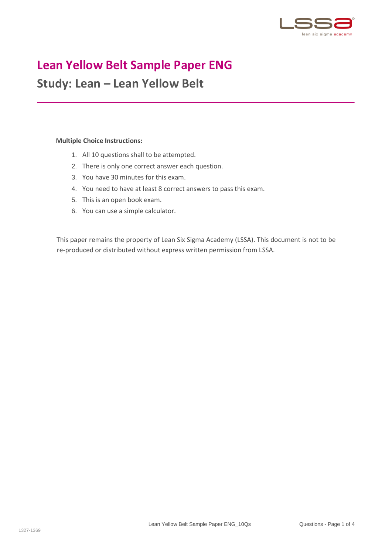

## **Lean Yellow Belt Sample Paper ENG**

## **Study: Lean – Lean Yellow Belt**

## **Multiple Choice Instructions:**

- 1. All 10 questions shall to be attempted.
- 2. There is only one correct answer each question.
- 3. You have 30 minutes for this exam.
- 4. You need to have at least 8 correct answers to pass this exam.
- 5. This is an open book exam.
- 6. You can use a simple calculator.

This paper remains the property of Lean Six Sigma Academy (LSSA). This document is not to be re-produced or distributed without express written permission from LSSA.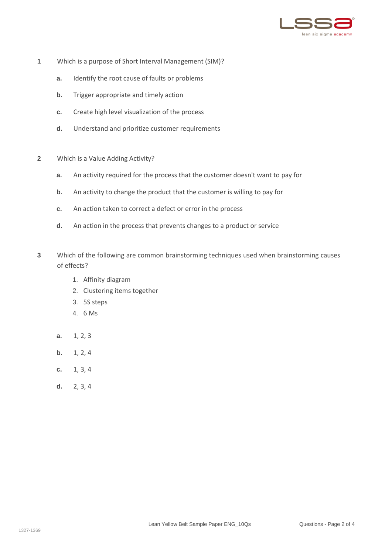

- **1** Which is a purpose of Short Interval Management (SIM)?
	- **a.** Identify the root cause of faults or problems
	- **b.** Trigger appropriate and timely action
	- **c.** Create high level visualization of the process
	- **d.** Understand and prioritize customer requirements
- **2** Which is a Value Adding Activity?
	- **a.** An activity required for the process that the customer doesn't want to pay for
	- **b.** An activity to change the product that the customer is willing to pay for
	- **c.** An action taken to correct a defect or error in the process
	- **d.** An action in the process that prevents changes to a product or service
- **3** Which of the following are common brainstorming techniques used when brainstorming causes of effects?
	- 1. Affinity diagram
	- 2. Clustering items together
	- 3. 5S steps
	- 4. 6 Ms
	- **a.** 1, 2, 3
	- **b.** 1, 2, 4
	- **c.** 1, 3, 4
	- **d.** 2, 3, 4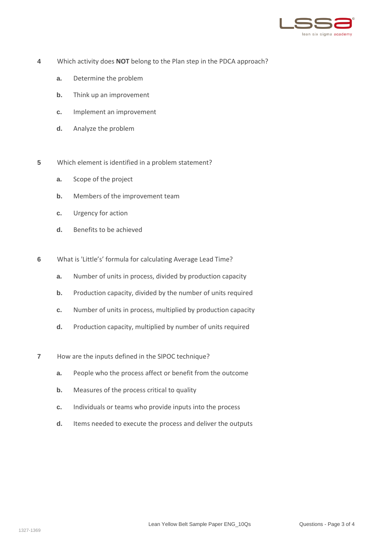

- **4** Which activity does **NOT** belong to the Plan step in the PDCA approach?
	- **a.** Determine the problem
	- **b.** Think up an improvement
	- **c.** Implement an improvement
	- **d.** Analyze the problem
- **5** Which element is identified in a problem statement?
	- **a.** Scope of the project
	- **b.** Members of the improvement team
	- **c.** Urgency for action
	- **d.** Benefits to be achieved
- **6** What is 'Little's' formula for calculating Average Lead Time?
	- **a.** Number of units in process, divided by production capacity
	- **b.** Production capacity, divided by the number of units required
	- **c.** Number of units in process, multiplied by production capacity
	- **d.** Production capacity, multiplied by number of units required
- **7** How are the inputs defined in the SIPOC technique?
	- **a.** People who the process affect or benefit from the outcome
	- **b.** Measures of the process critical to quality
	- **c.** Individuals or teams who provide inputs into the process
	- **d.** Items needed to execute the process and deliver the outputs